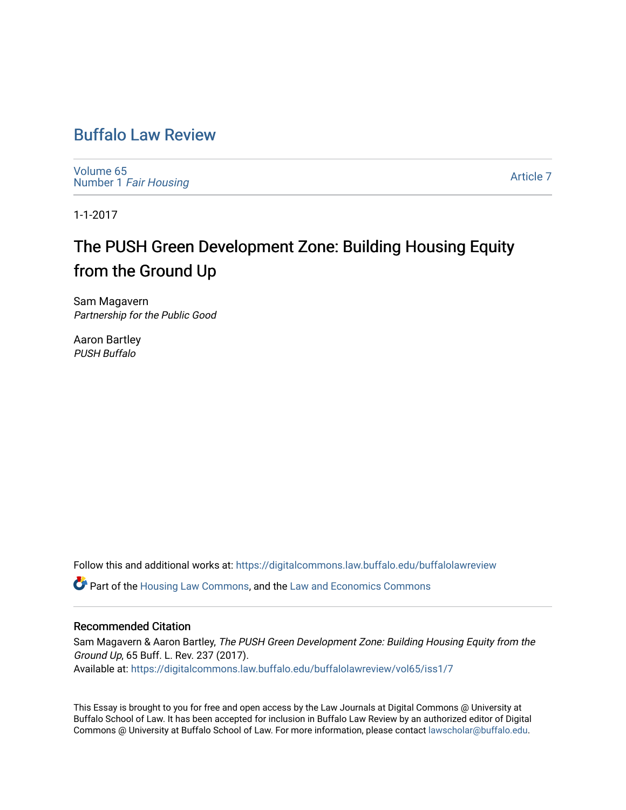# [Buffalo Law Review](https://digitalcommons.law.buffalo.edu/buffalolawreview)

[Volume 65](https://digitalcommons.law.buffalo.edu/buffalolawreview/vol65) Number 1 [Fair Housing](https://digitalcommons.law.buffalo.edu/buffalolawreview/vol65/iss1) 

[Article 7](https://digitalcommons.law.buffalo.edu/buffalolawreview/vol65/iss1/7) 

1-1-2017

# The PUSH Green Development Zone: Building Housing Equity from the Ground Up

Sam Magavern Partnership for the Public Good

Aaron Bartley PUSH Buffalo

Follow this and additional works at: [https://digitalcommons.law.buffalo.edu/buffalolawreview](https://digitalcommons.law.buffalo.edu/buffalolawreview?utm_source=digitalcommons.law.buffalo.edu%2Fbuffalolawreview%2Fvol65%2Fiss1%2F7&utm_medium=PDF&utm_campaign=PDFCoverPages) 

Part of the [Housing Law Commons,](http://network.bepress.com/hgg/discipline/846?utm_source=digitalcommons.law.buffalo.edu%2Fbuffalolawreview%2Fvol65%2Fiss1%2F7&utm_medium=PDF&utm_campaign=PDFCoverPages) and the [Law and Economics Commons](http://network.bepress.com/hgg/discipline/612?utm_source=digitalcommons.law.buffalo.edu%2Fbuffalolawreview%2Fvol65%2Fiss1%2F7&utm_medium=PDF&utm_campaign=PDFCoverPages) 

### Recommended Citation

Sam Magavern & Aaron Bartley, The PUSH Green Development Zone: Building Housing Equity from the Ground Up, 65 Buff. L. Rev. 237 (2017). Available at: [https://digitalcommons.law.buffalo.edu/buffalolawreview/vol65/iss1/7](https://digitalcommons.law.buffalo.edu/buffalolawreview/vol65/iss1/7?utm_source=digitalcommons.law.buffalo.edu%2Fbuffalolawreview%2Fvol65%2Fiss1%2F7&utm_medium=PDF&utm_campaign=PDFCoverPages) 

This Essay is brought to you for free and open access by the Law Journals at Digital Commons @ University at Buffalo School of Law. It has been accepted for inclusion in Buffalo Law Review by an authorized editor of Digital Commons @ University at Buffalo School of Law. For more information, please contact [lawscholar@buffalo.edu](mailto:lawscholar@buffalo.edu).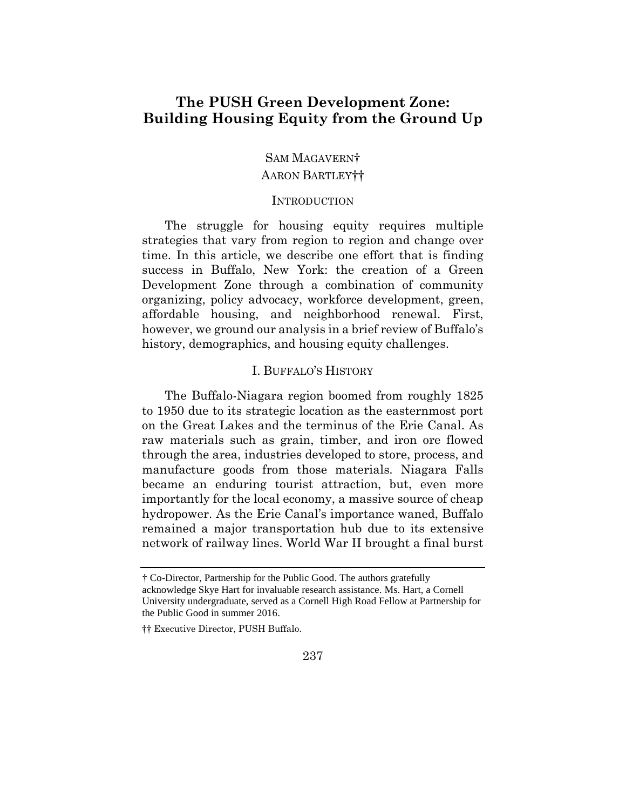# **Building Housing Equity from the Ground Up The PUSH Green Development Zone:**

# SAM MAGAVERN† AARON BARTLEY††

#### **INTRODUCTION**

 time. In this article, we describe one effort that is finding success in Buffalo, New York: the creation of a Green organizing, policy advocacy, workforce development, green, affordable housing, and neighborhood renewal. First, however, we ground our analysis in a brief review of Buffalo's The struggle for housing equity requires multiple strategies that vary from region to region and change over Development Zone through a combination of community history, demographics, and housing equity challenges.

## I. BUFFALO'S HISTORY

 on the Great Lakes and the terminus of the Erie Canal. As through the area, industries developed to store, process, and manufacture goods from those materials. Niagara Falls became an enduring tourist attraction, but, even more importantly for the local economy, a massive source of cheap remained a major transportation hub due to its extensive The Buffalo-Niagara region boomed from roughly 1825 to 1950 due to its strategic location as the easternmost port raw materials such as grain, timber, and iron ore flowed hydropower. As the Erie Canal's importance waned, Buffalo network of railway lines. World War II brought a final burst

 † Co-Director, Partnership for the Public Good. The authors gratefully University undergraduate, served as a Cornell High Road Fellow at Partnership for the Public Good in summer 2016. acknowledge Skye Hart for invaluable research assistance. Ms. Hart, a Cornell

<sup>††</sup> Executive Director, PUSH Buffalo.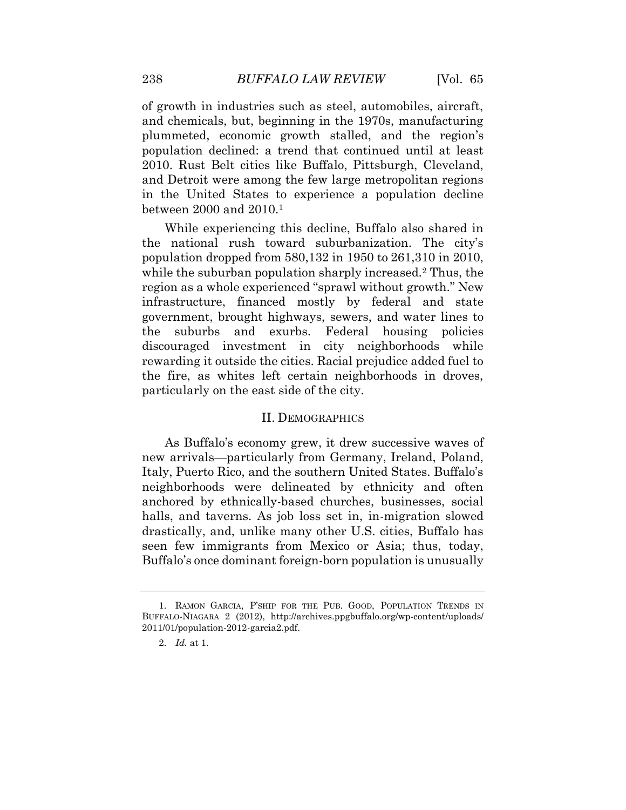and chemicals, but, beginning in the 1970s, manufacturing population declined: a trend that continued until at least of growth in industries such as steel, automobiles, aircraft, plummeted, economic growth stalled, and the region's 2010. Rust Belt cities like Buffalo, Pittsburgh, Cleveland, and Detroit were among the few large metropolitan regions in the United States to experience a population decline between 2000 and 2010.1

 the national rush toward suburbanization. The city's population dropped from 580,132 in 1950 to 261,310 in 2010, region as a whole experienced "sprawl without growth." New infrastructure, financed mostly by federal and state government, brought highways, sewers, and water lines to discouraged investment in city neighborhoods while rewarding it outside the cities. Racial prejudice added fuel to While experiencing this decline, Buffalo also shared in while the suburban population sharply increased.<sup>2</sup> Thus, the the suburbs and exurbs. Federal housing policies the fire, as whites left certain neighborhoods in droves, particularly on the east side of the city.

#### II. DEMOGRAPHICS

 As Buffalo's economy grew, it drew successive waves of neighborhoods were delineated by ethnicity and often anchored by ethnically-based churches, businesses, social halls, and taverns. As job loss set in, in-migration slowed drastically, and, unlike many other U.S. cities, Buffalo has new arrivals—particularly from Germany, Ireland, Poland, Italy, Puerto Rico, and the southern United States. Buffalo's seen few immigrants from Mexico or Asia; thus, today, Buffalo's once dominant foreign-born population is unusually

 1. RAMON GARCIA, P'SHIP FOR THE PUB. GOOD, POPULATION TRENDS IN BUFFALO-NIAGARA 2 (2012), [http://archives.ppgbuffalo.org/wp-content/uploads/](http://archives.ppgbuffalo.org/wp-content/uploads) 2011/01/population-2012-garcia2.pdf.

<sup>2.</sup> *Id.* at 1.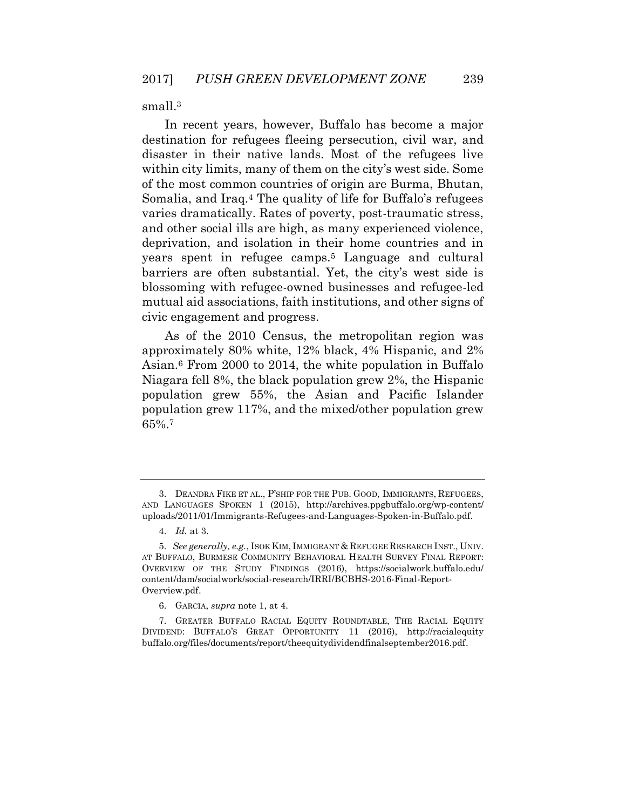small.<sup>3</sup>

 In recent years, however, Buffalo has become a major destination for refugees fleeing persecution, civil war, and disaster in their native lands. Most of the refugees live and other social ills are high, as many experienced violence, blossoming with refugee-owned businesses and refugee-led mutual aid associations, faith institutions, and other signs of within city limits, many of them on the city's west side. Some of the most common countries of origin are Burma, Bhutan, Somalia, and Iraq.4 The quality of life for Buffalo's refugees varies dramatically. Rates of poverty, post-traumatic stress, deprivation, and isolation in their home countries and in years spent in refugee camps.5 Language and cultural barriers are often substantial. Yet, the city's west side is civic engagement and progress.

 population grew 55%, the Asian and Pacific Islander As of the 2010 Census, the metropolitan region was approximately 80% white, 12% black, 4% Hispanic, and 2% Asian.6 From 2000 to 2014, the white population in Buffalo Niagara fell 8%, the black population grew 2%, the Hispanic population grew 117%, and the mixed/other population grew 65%.7

<sup>3.</sup> DEANDRA FIKE ET AL., P'SHIP FOR THE PUB. GOOD, IMMIGRANTS, REFUGEES, AND LANGUAGES SPOKEN 1 (2015), [http://archives.ppgbuffalo.org/wp-content/](http://archives.ppgbuffalo.org/wp-content) uploads/2011/01/Immigrants-Refugees-and-Languages-Spoken-in-Buffalo.pdf.

<sup>4.</sup> *Id.* at 3.

 OVERVIEW OF THE STUDY FINDINGS (2016), [https://socialwork.buffalo.edu/](https://socialwork.buffalo.edu) 5. *See generally, e.g.*, ISOK KIM, IMMIGRANT & REFUGEE RESEARCH INST., UNIV. AT BUFFALO, BURMESE COMMUNITY BEHAVIORAL HEALTH SURVEY FINAL REPORT: content/dam/socialwork/social-research/IRRI/BCBHS-2016-Final-Report-Overview.pdf.

<sup>6.</sup> GARCIA, *supra* note 1, at 4.

<sup>7.</sup> GREATER BUFFALO RACIAL EQUITY ROUNDTABLE, THE RACIAL EQUITY DIVIDEND: BUFFALO'S GREAT OPPORTUNITY 11 (2016), <http://racialequity> [buffalo.org/files/documents/report/theequitydividendfinalseptember2016.pdf](https://buffalo.org/files/documents/report/theequitydividendfinalseptember2016.pdf).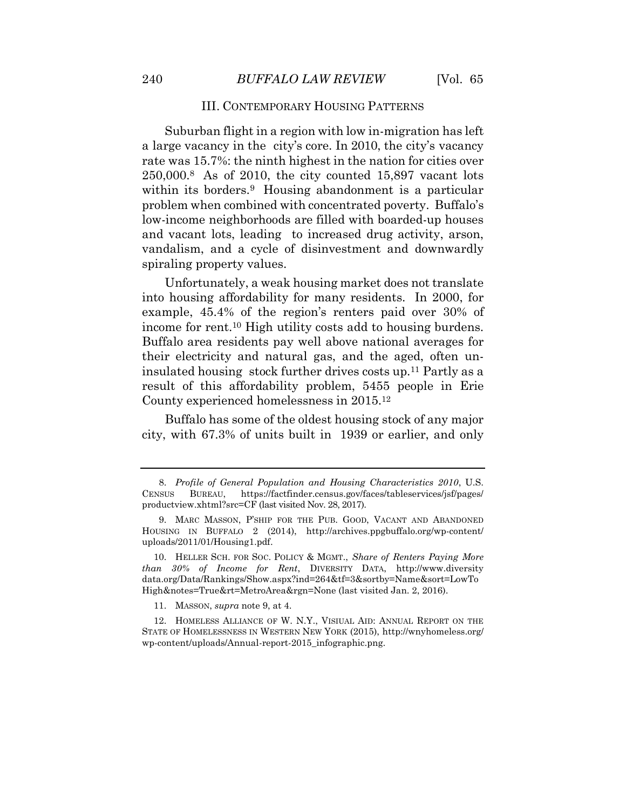### III. CONTEMPORARY HOUSING PATTERNS

 vandalism, and a cycle of disinvestment and downwardly Suburban flight in a region with low in-migration has left a large vacancy in the city's core. In 2010, the city's vacancy rate was 15.7%: the ninth highest in the nation for cities over 250,000.8 As of 2010, the city counted 15,897 vacant lots within its borders.<sup>9</sup> Housing abandonment is a particular problem when combined with concentrated poverty. Buffalo's low-income neighborhoods are filled with boarded-up houses and vacant lots, leading to increased drug activity, arson, spiraling property values.

Unfortunately, a weak housing market does not translate into housing affordability for many residents. In 2000, for example, 45.4% of the region's renters paid over 30% of income for rent.10 High utility costs add to housing burdens. Buffalo area residents pay well above national averages for their electricity and natural gas, and the aged, often uninsulated housing stock further drives costs up.11 Partly as a result of this affordability problem, 5455 people in Erie County experienced homelessness in 2015.12

Buffalo has some of the oldest housing stock of any major city, with 67.3% of units built in 1939 or earlier, and only

 productview.xhtml?src=CF (last visited Nov. 28, 2017). 8. *Profile of General Population and Housing Characteristics 2010*, U.S. CENSUS BUREAU, [https://factfinder.census.gov/faces/tableservices/jsf/pages/](https://factfinder.census.gov/faces/tableservices/jsf/pages)

 9. MARC MASSON, P'SHIP FOR THE PUB. GOOD, VACANT AND ABANDONED HOUSING IN BUFFALO 2 (2014), [http://archives.ppgbuffalo.org/wp-content/](http://archives.ppgbuffalo.org/wp-content) uploads/2011/01/Housing1.pdf.

 10. HELLER SCH. FOR SOC. POLICY & MGMT., *Share of Renters Paying More than 30% of Income for Rent*, DIVERSITY DATA, <http://www.diversity> data.org/Data/Rankings/Show.aspx?ind=264&tf=3&sortby=Name&sort=LowTo High&notes=True&rt=MetroArea&rgn=None (last visited Jan. 2, 2016).

<sup>11.</sup> MASSON, *supra* note 9, at 4.

 12. HOMELESS ALLIANCE OF W. N.Y., VISIUAL AID: ANNUAL REPORT ON THE STATE OF HOMELESSNESS IN WESTERN NEW YORK (2015), [http://wnyhomeless.org/](http://wnyhomeless.org) wp-content/uploads/Annual-report-2015\_infographic.png.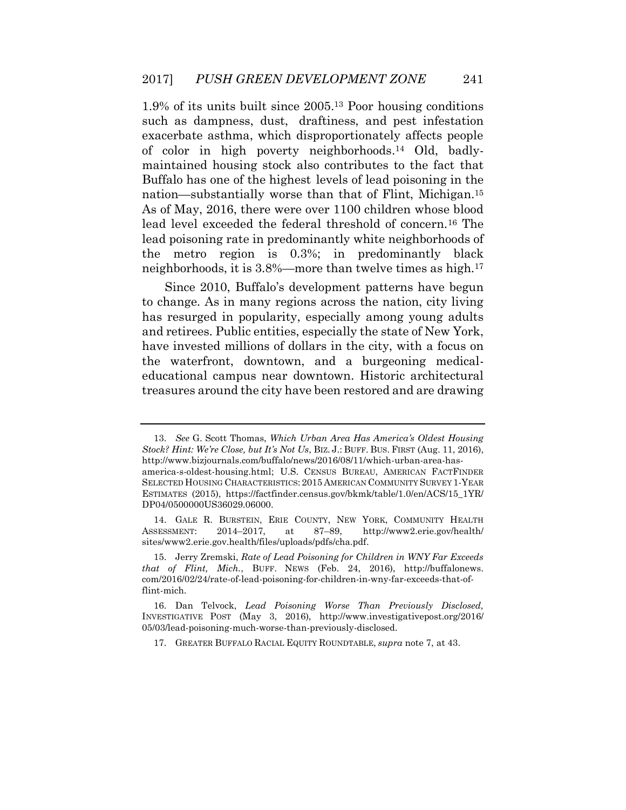maintained housing stock also contributes to the fact that As of May, 2016, there were over 1100 children whose blood lead level exceeded the federal threshold of [concern.16](https://concern.16) The lead poisoning rate in predominantly white neighborhoods of the metro region is 0.3%; in predominantly black neighborhoods, it is 3.8%—more than twelve times as high.17 1.9% of its units built since 2005.13 Poor housing conditions such as dampness, dust, draftiness, and pest infestation exacerbate asthma, which disproportionately affects people of color in high poverty [neighborhoods.14](https://neighborhoods.14) Old, badly-Buffalo has one of the highest levels of lead poisoning in the nation—substantially worse than that of Flint, [Michigan.15](https://Michigan.15)

 to change. As in many regions across the nation, city living has resurged in popularity, especially among young adults and retirees. Public entities, especially the state of New York, have invested millions of dollars in the city, with a focus on the waterfront, downtown, and a burgeoning medical- educational campus near downtown. Historic architectural treasures around the city have been restored and are drawing Since 2010, Buffalo's development patterns have begun

 13. *See* G. Scott Thomas, *Which Urban Area Has America's Oldest Housing Stock? Hint: We're Close, but It's Not Us*, BIZ. J.: BUFF. BUS. FIRST (Aug. 11, 2016), <http://www.bizjournals.com/buffalo/news/2016/08/11/which-urban-area-has>america-s-oldest-housing.html; U.S. CENSUS BUREAU, AMERICAN FACTFINDER SELECTED HOUSING CHARACTERISTICS: 2015 AMERICAN COMMUNITY SURVEY 1-YEAR ESTIMATES (2015), [https://factfinder.census.gov/bkmk/table/1.0/en/ACS/15\\_1YR/](https://factfinder.census.gov/bkmk/table/1.0/en/ACS/15_1YR) DP04/0500000US36029.06000.

<sup>14.</sup> GALE R. BURSTEIN, ERIE COUNTY, NEW YORK, COMMUNITY HEALTH ASSESSMENT: 2014–2017, at 87–89, [http://www2.erie.gov/health/](http://www2.erie.gov/health) sites/www2.erie.gov.health/files/uploads/pdfs/cha.pdf.

 15. Jerry Zremski, *Rate of Lead Poisoning for Children in WNY Far Exceeds that of Flint, Mich.*, BUFF. NEWS (Feb. 24, 2016), [http://buffalonews.](http://buffalonews) com/2016/02/24/rate-of-lead-poisoning-for-children-in-wny-far-exceeds-that-offlint-mich.

 16. Dan Telvock, *Lead Poisoning Worse Than Previously Disclosed,*  INVESTIGATIVE POST (May 3, 2016), [http://www.investigativepost.org/2016/](http://www.investigativepost.org/2016) 05/03/lead-poisoning-much-worse-than-previously-disclosed.

<sup>17.</sup> GREATER BUFFALO RACIAL EQUITY ROUNDTABLE, *supra* note 7, at 43.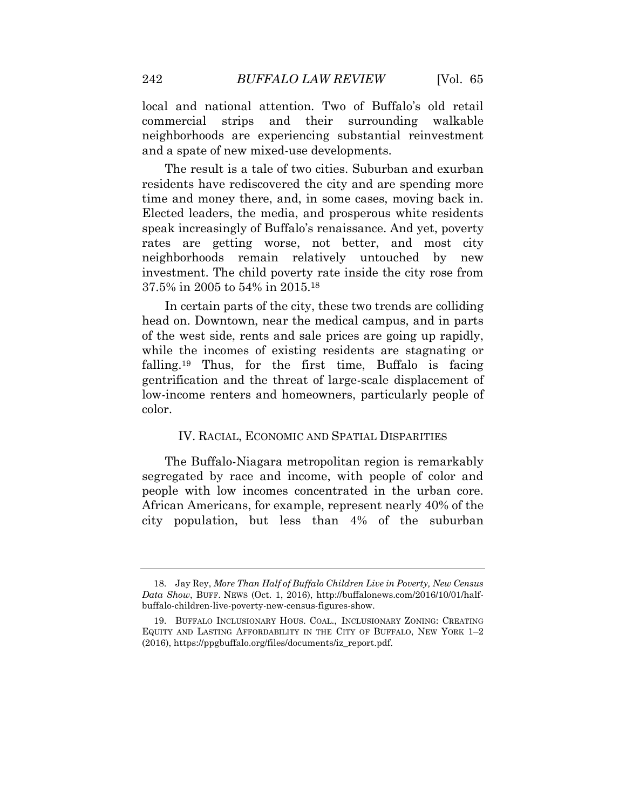local and national attention. Two of Buffalo's old retail commercial neighborhoods are experiencing substantial reinvestment strips and their surrounding walkable and a spate of new mixed-use developments.

 The result is a tale of two cities. Suburban and exurban residents have rediscovered the city and are spending more time and money there, and, in some cases, moving back in. Elected leaders, the media, and prosperous white residents speak increasingly of Buffalo's renaissance. And yet, poverty rates are getting worse, not better, and most city neighborhoods remain relatively untouched by new investment. The child poverty rate inside the city rose from 37.5% in 2005 to 54% in 2015.18

 In certain parts of the city, these two trends are colliding head on. Downtown, near the medical campus, and in parts of the west side, rents and sale prices are going up rapidly, while the incomes of existing residents are stagnating or [falling.19](https://falling.19) Thus, for the first time, Buffalo is facing gentrification and the threat of large-scale displacement of low-income renters and homeowners, particularly people of color.

#### IV. RACIAL, ECONOMIC AND SPATIAL DISPARITIES

 segregated by race and income, with people of color and people with low incomes concentrated in the urban core. African Americans, for example, represent nearly 40% of the city population, but less than 4% of the suburban The Buffalo-Niagara metropolitan region is remarkably

 18. Jay Rey, *More Than Half of Buffalo Children Live in Poverty, New Census Data Show*, BUFF. NEWS (Oct. 1, 2016), <http://buffalonews.com/2016/10/01/half>buffalo-children-live-poverty-new-census-figures-show.

<sup>19.</sup> BUFFALO INCLUSIONARY HOUS. COAL., INCLUSIONARY ZONING: CREATING EQUITY AND LASTING AFFORDABILITY IN THE CITY OF BUFFALO, NEW YORK 1–2 (2016), [https://ppgbuffalo.org/files/documents/iz\\_report.pdf.](https://ppgbuffalo.org/files/documents/iz_report.pdf)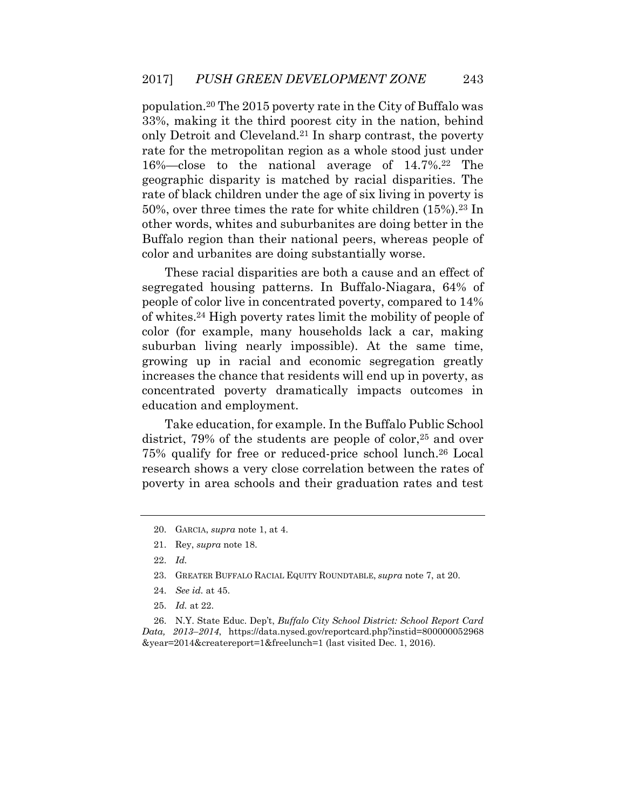[population.20](https://population.20) The 2015 poverty rate in the City of Buffalo was rate for the metropolitan region as a whole stood just under 16%—close to the national average of [14.7%.22](https://14.7%.22) The geographic disparity is matched by racial disparities. The rate of black children under the age of six living in poverty is Buffalo region than their national peers, whereas people of 33%, making it the third poorest city in the nation, behind only Detroit and [Cleveland.21](https://Cleveland.21) In sharp contrast, the poverty 50%, over three times the rate for white children (15%).23 In other words, whites and suburbanites are doing better in the color and urbanites are doing substantially worse.

 people of color live in concentrated poverty, compared to 14% of [whites.24](https://whites.24) High poverty rates limit the mobility of people of color (for example, many households lack a car, making suburban living nearly impossible). At the same time, growing up in racial and economic segregation greatly increases the chance that residents will end up in poverty, as concentrated poverty dramatically impacts outcomes in These racial disparities are both a cause and an effect of segregated housing patterns. In Buffalo-Niagara, 64% of education and employment.

 Take education, for example. In the Buffalo Public School district, 79% of the students are people of color,<sup>25</sup> and over 75% qualify for free or reduced-price school [lunch.26](https://lunch.26) Local research shows a very close correlation between the rates of poverty in area schools and their graduation rates and test

 26. N.Y. State Educ. Dep't, *Buffalo City School District: School Report Card Data, 2013*–*2014*, <https://data.nysed.gov/reportcard.php?instid=800000052968> &year=2014&createreport=1&freelunch=1 (last visited Dec. 1, 2016).

<sup>20.</sup> GARCIA, *supra* note 1, at 4.

<sup>21.</sup> Rey, *supra* note 18.

<sup>22.</sup> *Id.* 

<sup>23.</sup> GREATER BUFFALO RACIAL EQUITY ROUNDTABLE, *supra* note 7, at 20.

<sup>24.</sup> *See id.* at 45.

<sup>25.</sup> *Id.* at 22.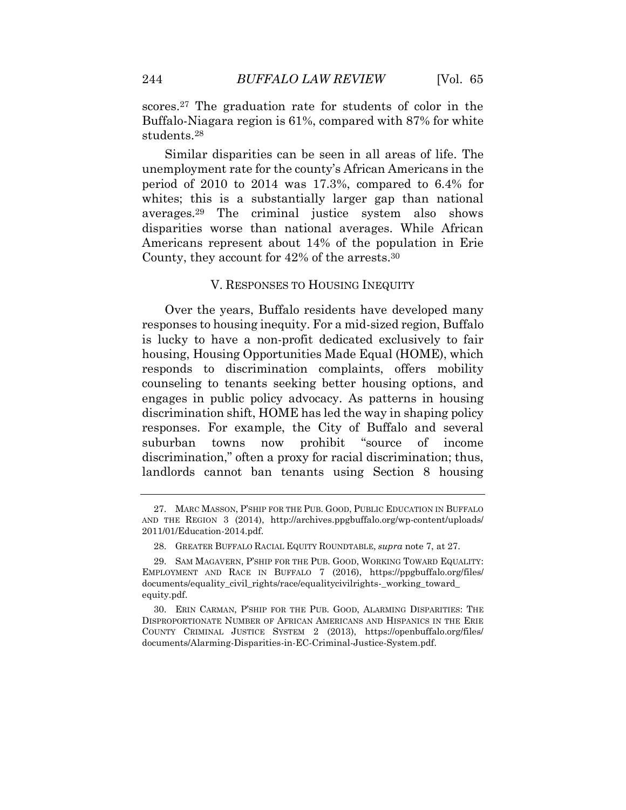scores.<sup>27</sup> The graduation rate for students of color in the Buffalo-Niagara region is 61%, compared with 87% for white [students.28](https://students.28)

 unemployment rate for the county's African Americans in the period of 2010 to 2014 was 17.3%, compared to 6.4% for whites; this is a substantially larger gap than national Americans represent about 14% of the population in Erie Similar disparities can be seen in all areas of life. The [averages.29](https://averages.29) The criminal justice system also shows disparities worse than national averages. While African County, they account for 42% of the [arrests.30](https://arrests.30)

#### V. RESPONSES TO HOUSING INEQUITY

 Over the years, Buffalo residents have developed many responses to housing inequity. For a mid-sized region, Buffalo is lucky to have a non-profit dedicated exclusively to fair housing, Housing Opportunities Made Equal (HOME), which responds to discrimination complaints, offers mobility counseling to tenants seeking better housing options, and engages in public policy advocacy. As patterns in housing discrimination shift, HOME has led the way in shaping policy responses. For example, the City of Buffalo and several suburban towns now prohibit "source of income discrimination," often a proxy for racial discrimination; thus, landlords cannot ban tenants using Section 8 housing

<sup>27.</sup> MARC MASSON, P'SHIP FOR THE PUB. GOOD, PUBLIC EDUCATION IN BUFFALO AND THE REGION 3 (2014), [http://archives.ppgbuffalo.org/wp-content/uploads/](http://archives.ppgbuffalo.org/wp-content/uploads) 2011/01/Education-2014.pdf.

<sup>28.</sup> GREATER BUFFALO RACIAL EQUITY ROUNDTABLE, *supra* note 7, at 27.

<sup>29.</sup> SAM MAGAVERN, P'SHIP FOR THE PUB. GOOD, WORKING TOWARD EQUALITY: EMPLOYMENT AND RACE IN BUFFALO 7 (2016), [https://ppgbuffalo.org/files/](https://ppgbuffalo.org/files) documents/equality\_civil\_rights/race/equalitycivilrights-\_working\_toward\_ equity.pdf.

 DISPROPORTIONATE NUMBER OF AFRICAN AMERICANS AND HISPANICS IN THE ERIE 30. ERIN CARMAN, P'SHIP FOR THE PUB. GOOD, ALARMING DISPARITIES: THE COUNTY CRIMINAL JUSTICE SYSTEM 2 (2013), [https://openbuffalo.org/files/](https://openbuffalo.org/files) documents/Alarming-Disparities-in-EC-Criminal-Justice-System.pdf.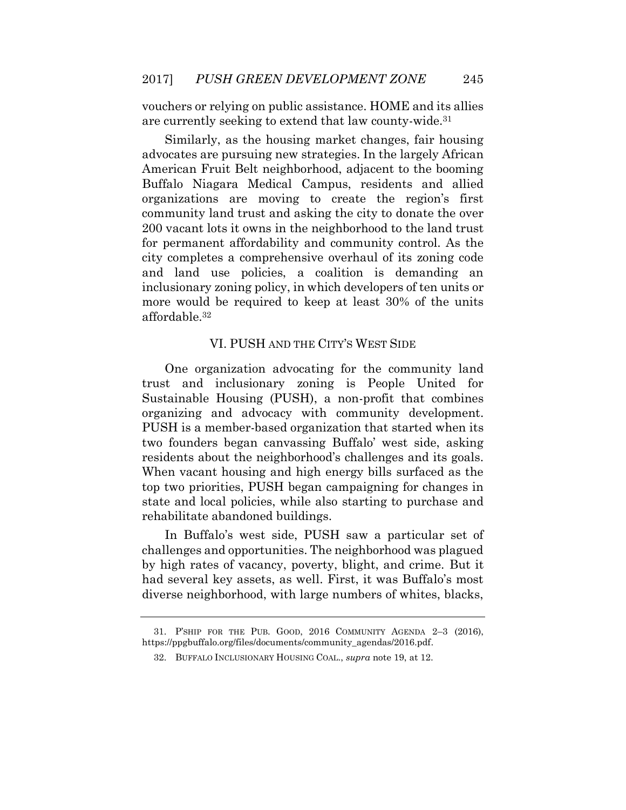vouchers or relying on public assistance. HOME and its allies are currently seeking to extend that law [county-wide.31](https://county-wide.31)

 Similarly, as the housing market changes, fair housing advocates are pursuing new strategies. In the largely African American Fruit Belt neighborhood, adjacent to the booming Buffalo Niagara Medical Campus, residents and allied organizations are moving to create the region's first community land trust and asking the city to donate the over 200 vacant lots it owns in the neighborhood to the land trust for permanent affordability and community control. As the city completes a comprehensive overhaul of its zoning code and land use policies, a coalition is demanding an inclusionary zoning policy, in which developers of ten units or more would be required to keep at least 30% of the units [affordable.32](https://affordable.32) 

# VI. PUSH AND THE CITY'S WEST SIDE

 One organization advocating for the community land trust and inclusionary zoning is People United for Sustainable Housing (PUSH), a non-profit that combines two founders began canvassing Buffalo' west side, asking residents about the neighborhood's challenges and its goals. When vacant housing and high energy bills surfaced as the top two priorities, PUSH began campaigning for changes in state and local policies, while also starting to purchase and organizing and advocacy with community development. PUSH is a member-based organization that started when its rehabilitate abandoned buildings.

 In Buffalo's west side, PUSH saw a particular set of by high rates of vacancy, poverty, blight, and crime. But it had several key assets, as well. First, it was Buffalo's most challenges and opportunities. The neighborhood was plagued diverse neighborhood, with large numbers of whites, blacks,

 31. P'SHIP FOR THE PUB. GOOD, 2016 COMMUNITY AGENDA 2–3 (2016), [https://ppgbuffalo.org/files/documents/community\\_agendas/2016.pdf](https://ppgbuffalo.org/files/documents/community_agendas/2016.pdf).

<sup>32.</sup> BUFFALO INCLUSIONARY HOUSING COAL., *supra* note 19, at 12.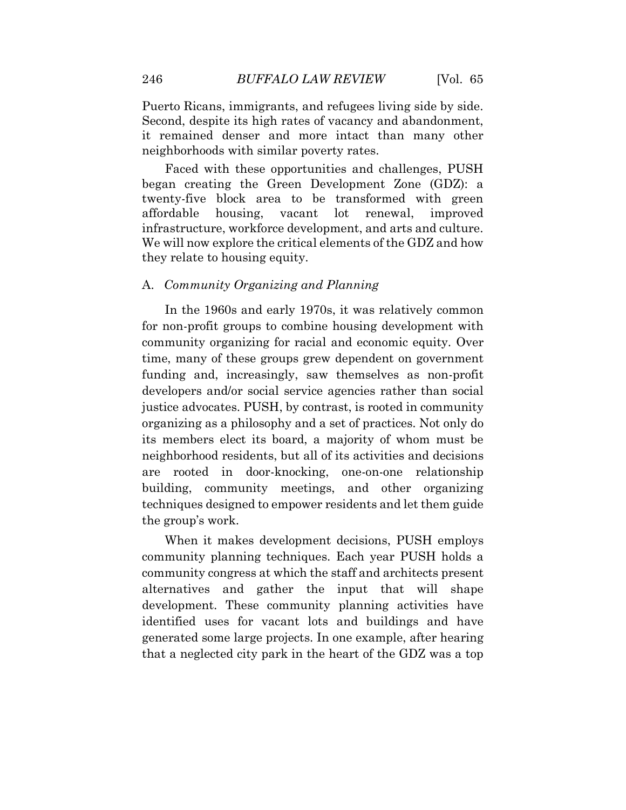Puerto Ricans, immigrants, and refugees living side by side. Second, despite its high rates of vacancy and abandonment, it remained denser and more intact than many other neighborhoods with similar poverty rates.

 infrastructure, workforce development, and arts and culture. We will now explore the critical elements of the GDZ and how Faced with these opportunities and challenges, PUSH began creating the Green Development Zone (GDZ): a twenty-five block area to be transformed with green affordable housing, vacant lot renewal, improved they relate to housing equity.

#### A. *Community Organizing and Planning*

 In the 1960s and early 1970s, it was relatively common for non-profit groups to combine housing development with community organizing for racial and economic equity. Over funding and, increasingly, saw themselves as non-profit developers and/or social service agencies rather than social justice advocates. PUSH, by contrast, is rooted in community organizing as a philosophy and a set of practices. Not only do its members elect its board, a majority of whom must be neighborhood residents, but all of its activities and decisions are rooted in door-knocking, one-on-one relationship building, community meetings, and other organizing techniques designed to empower residents and let them guide the group's work. time, many of these groups grew dependent on government

 When it makes development decisions, PUSH employs community planning techniques. Each year PUSH holds a community congress at which the staff and architects present alternatives and gather the input that will shape development. These community planning activities have identified uses for vacant lots and buildings and have generated some large projects. In one example, after hearing that a neglected city park in the heart of the GDZ was a top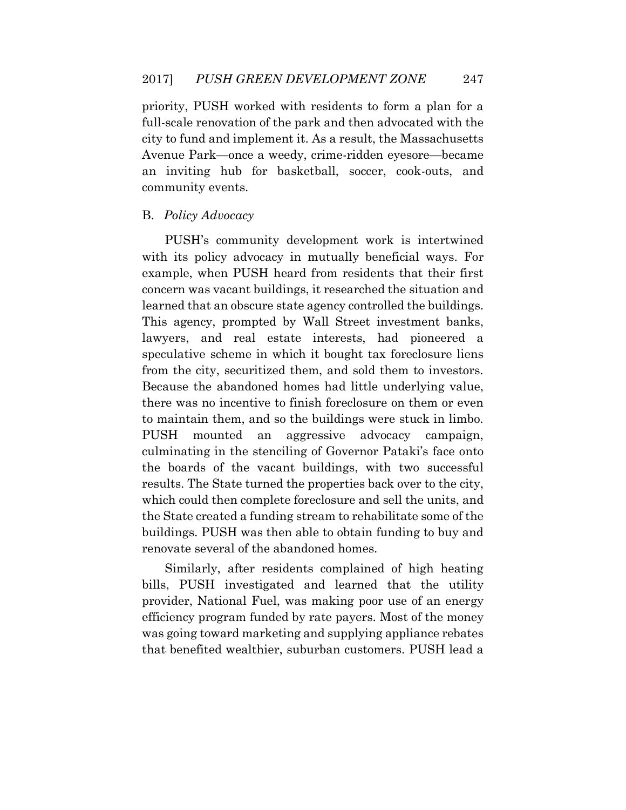priority, PUSH worked with residents to form a plan for a full-scale renovation of the park and then advocated with the city to fund and implement it. As a result, the Massachusetts an inviting hub for basketball, soccer, cook-outs, and Avenue Park—once a weedy, crime-ridden eyesore—became community events.

# B. *Policy Advocacy*

 with its policy advocacy in mutually beneficial ways. For example, when PUSH heard from residents that their first concern was vacant buildings, it researched the situation and learned that an obscure state agency controlled the buildings. This agency, prompted by Wall Street investment banks, lawyers, and real estate interests, had pioneered a speculative scheme in which it bought tax foreclosure liens from the city, securitized them, and sold them to investors. Because the abandoned homes had little underlying value, there was no incentive to finish foreclosure on them or even to maintain them, and so the buildings were stuck in limbo. **PUSH**  culminating in the stenciling of Governor Pataki's face onto the boards of the vacant buildings, with two successful results. The State turned the properties back over to the city, which could then complete foreclosure and sell the units, and the State created a funding stream to rehabilitate some of the buildings. PUSH was then able to obtain funding to buy and PUSH's community development work is intertwined mounted an aggressive advocacy campaign, renovate several of the abandoned homes.

 Similarly, after residents complained of high heating bills, PUSH investigated and learned that the utility provider, National Fuel, was making poor use of an energy was going toward marketing and supplying appliance rebates that benefited wealthier, suburban customers. PUSH lead a efficiency program funded by rate payers. Most of the money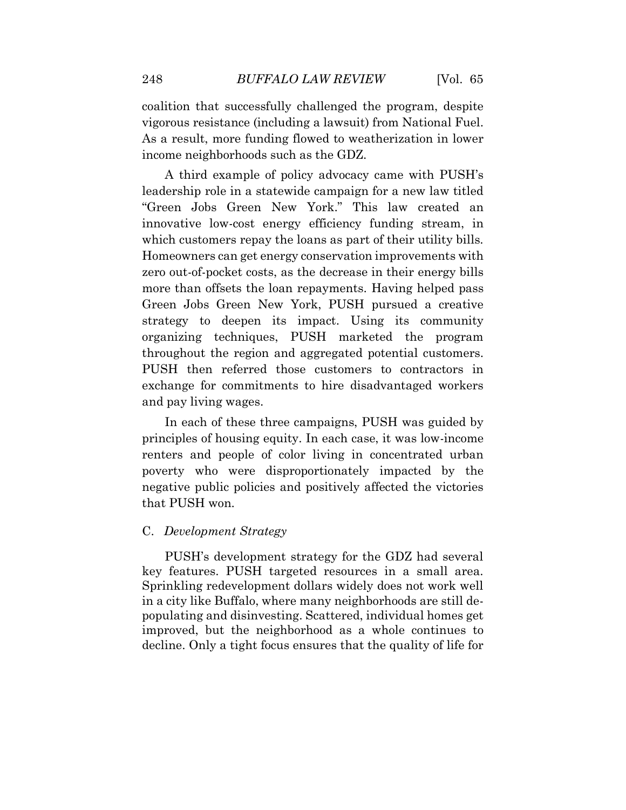coalition that successfully challenged the program, despite vigorous resistance (including a lawsuit) from National Fuel. As a result, more funding flowed to weatherization in lower income neighborhoods such as the GDZ.

 A third example of policy advocacy came with PUSH's leadership role in a statewide campaign for a new law titled "Green Jobs Green New York." This law created an innovative low-cost energy efficiency funding stream, in which customers repay the loans as part of their utility bills. Homeowners can get energy conservation improvements with zero out-of-pocket costs, as the decrease in their energy bills more than offsets the loan repayments. Having helped pass Green Jobs Green New York, PUSH pursued a creative organizing techniques, PUSH marketed the program throughout the region and aggregated potential customers. PUSH then referred those customers to contractors in exchange for commitments to hire disadvantaged workers and pay living wages. strategy to deepen its impact. Using its community

 In each of these three campaigns, PUSH was guided by principles of housing equity. In each case, it was low-income renters and people of color living in concentrated urban poverty who were disproportionately impacted by the negative public policies and positively affected the victories that PUSH won.

# C. *Development Strategy*

 PUSH's development strategy for the GDZ had several key features. PUSH targeted resources in a small area. Sprinkling redevelopment dollars widely does not work well in a city like Buffalo, where many neighborhoods are still de- populating and disinvesting. Scattered, individual homes get improved, but the neighborhood as a whole continues to decline. Only a tight focus ensures that the quality of life for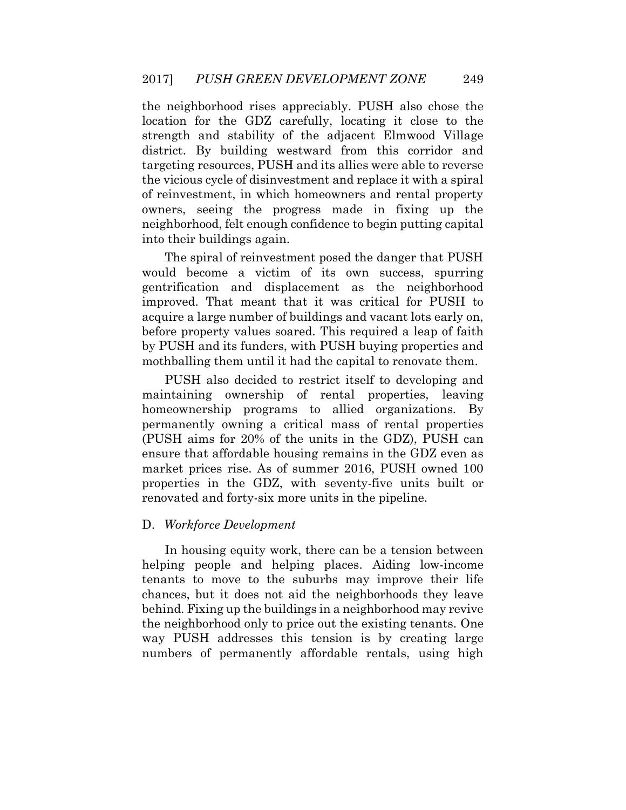the neighborhood rises appreciably. PUSH also chose the strength and stability of the adjacent Elmwood Village targeting resources, PUSH and its allies were able to reverse the vicious cycle of disinvestment and replace it with a spiral of reinvestment, in which homeowners and rental property location for the GDZ carefully, locating it close to the district. By building westward from this corridor and owners, seeing the progress made in fixing up the neighborhood, felt enough confidence to begin putting capital into their buildings again.

 The spiral of reinvestment posed the danger that PUSH improved. That meant that it was critical for PUSH to acquire a large number of buildings and vacant lots early on, before property values soared. This required a leap of faith by PUSH and its funders, with PUSH buying properties and would become a victim of its own success, spurring gentrification and displacement as the neighborhood mothballing them until it had the capital to renovate them.

 permanently owning a critical mass of rental properties (PUSH aims for 20% of the units in the GDZ), PUSH can ensure that affordable housing remains in the GDZ even as market prices rise. As of summer 2016, PUSH owned 100 PUSH also decided to restrict itself to developing and maintaining ownership of rental properties, leaving homeownership programs to allied organizations. By properties in the GDZ, with seventy-five units built or renovated and forty-six more units in the pipeline.

# D. *Workforce Development*

 helping people and helping places. Aiding low-income tenants to move to the suburbs may improve their life chances, but it does not aid the neighborhoods they leave behind. Fixing up the buildings in a neighborhood may revive the neighborhood only to price out the existing tenants. One way PUSH addresses this tension is by creating large numbers of permanently affordable rentals, using high In housing equity work, there can be a tension between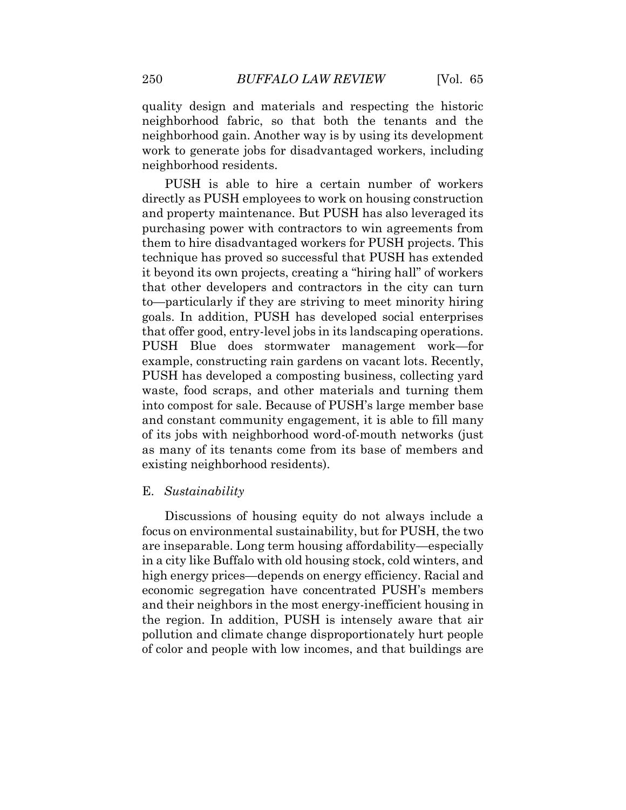quality design and materials and respecting the historic neighborhood fabric, so that both the tenants and the neighborhood gain. Another way is by using its development work to generate jobs for disadvantaged workers, including neighborhood residents.

 directly as PUSH employees to work on housing construction and property maintenance. But PUSH has also leveraged its them to hire disadvantaged workers for PUSH projects. This it beyond its own projects, creating a "hiring hall" of workers that other developers and contractors in the city can turn to—particularly if they are striving to meet minority hiring goals. In addition, PUSH has developed social enterprises PUSH has developed a composting business, collecting yard waste, food scraps, and other materials and turning them and constant community engagement, it is able to fill many PUSH is able to hire a certain number of workers purchasing power with contractors to win agreements from technique has proved so successful that PUSH has extended that offer good, entry-level jobs in its landscaping operations. PUSH Blue does stormwater management work—for example, constructing rain gardens on vacant lots. Recently, into compost for sale. Because of PUSH's large member base of its jobs with neighborhood word-of-mouth networks (just as many of its tenants come from its base of members and existing neighborhood residents).

#### E. *Sustainability*

 Discussions of housing equity do not always include a focus on environmental sustainability, but for PUSH, the two in a city like Buffalo with old housing stock, cold winters, and high energy prices—depends on energy efficiency. Racial and economic segregation have concentrated PUSH's members and their neighbors in the most energy-inefficient housing in pollution and climate change disproportionately hurt people of color and people with low incomes, and that buildings are are inseparable. Long term housing affordability—especially the region. In addition, PUSH is intensely aware that air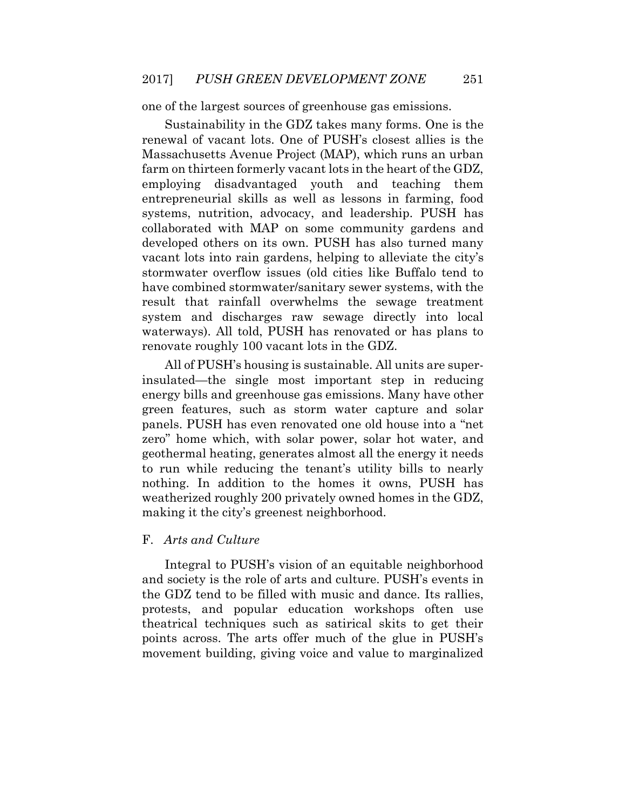one of the largest sources of greenhouse gas emissions.

 Sustainability in the GDZ takes many forms. One is the employing disadvantaged youth and teaching them entrepreneurial skills as well as lessons in farming, food systems, nutrition, advocacy, and leadership. PUSH has stormwater overflow issues (old cities like Buffalo tend to have combined stormwater/sanitary sewer systems, with the waterways). All told, PUSH has renovated or has plans to renovate roughly 100 vacant lots in the GDZ. renewal of vacant lots. One of PUSH's closest allies is the Massachusetts Avenue Project (MAP), which runs an urban farm on thirteen formerly vacant lots in the heart of the GDZ, collaborated with MAP on some community gardens and developed others on its own. PUSH has also turned many vacant lots into rain gardens, helping to alleviate the city's result that rainfall overwhelms the sewage treatment system and discharges raw sewage directly into local

 insulated—the single most important step in reducing energy bills and greenhouse gas emissions. Many have other green features, such as storm water capture and solar panels. PUSH has even renovated one old house into a "net zero" home which, with solar power, solar hot water, and geothermal heating, generates almost all the energy it needs nothing. In addition to the homes it owns, PUSH has weatherized roughly 200 privately owned homes in the GDZ, All of PUSH's housing is sustainable. All units are superto run while reducing the tenant's utility bills to nearly making it the city's greenest neighborhood.

#### F. *Arts and Culture*

 Integral to PUSH's vision of an equitable neighborhood and society is the role of arts and culture. PUSH's events in the GDZ tend to be filled with music and dance. Its rallies, theatrical techniques such as satirical skits to get their points across. The arts offer much of the glue in PUSH's movement building, giving voice and value to marginalized protests, and popular education workshops often use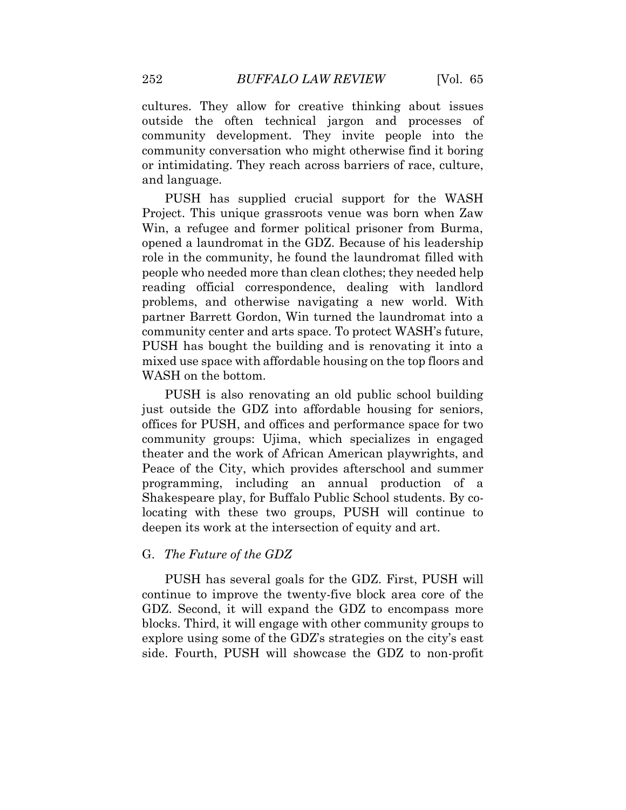cultures. They allow for creative thinking about issues outside the often technical jargon and processes of community conversation who might otherwise find it boring or intimidating. They reach across barriers of race, culture, community development. They invite people into the and language.

 PUSH has supplied crucial support for the WASH Win, a refugee and former political prisoner from Burma, opened a laundromat in the GDZ. Because of his leadership people who needed more than clean clothes; they needed help community center and arts space. To protect WASH's future, PUSH has bought the building and is renovating it into a mixed use space with affordable housing on the top floors and Project. This unique grassroots venue was born when Zaw role in the community, he found the laundromat filled with reading official correspondence, dealing with landlord problems, and otherwise navigating a new world. With partner Barrett Gordon, Win turned the laundromat into a WASH on the bottom.

 PUSH is also renovating an old public school building offices for PUSH, and offices and performance space for two theater and the work of African American playwrights, and locating with these two groups, PUSH will continue to just outside the GDZ into affordable housing for seniors, community groups: Ujima, which specializes in engaged Peace of the City, which provides afterschool and summer programming, including an annual production of a Shakespeare play, for Buffalo Public School students. By codeepen its work at the intersection of equity and art.

### G. *The Future of the GDZ*

 PUSH has several goals for the GDZ. First, PUSH will GDZ. Second, it will expand the GDZ to encompass more blocks. Third, it will engage with other community groups to side. Fourth, PUSH will showcase the GDZ to non-profit continue to improve the twenty-five block area core of the explore using some of the GDZ's strategies on the city's east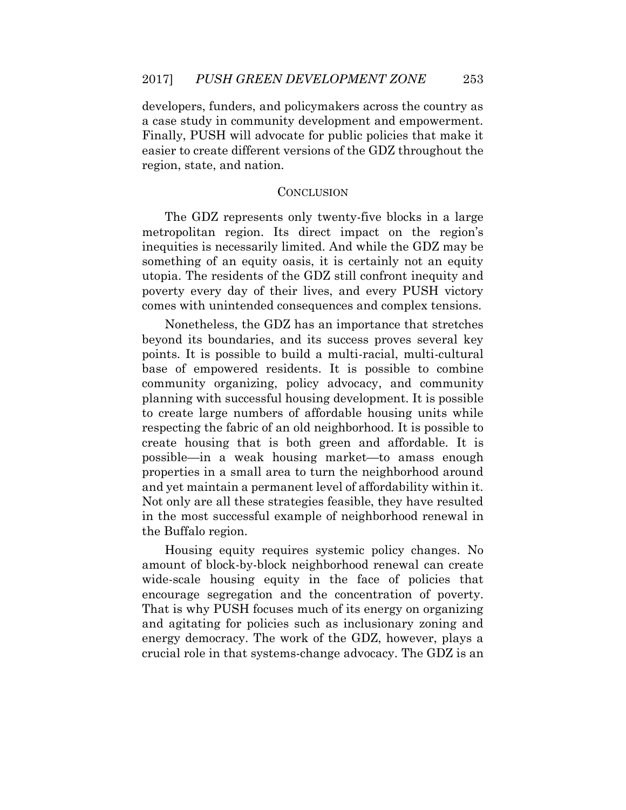developers, funders, and policymakers across the country as a case study in community development and empowerment. Finally, PUSH will advocate for public policies that make it easier to create different versions of the GDZ throughout the region, state, and nation.

#### **CONCLUSION**

 The GDZ represents only twenty-five blocks in a large inequities is necessarily limited. And while the GDZ may be utopia. The residents of the GDZ still confront inequity and poverty every day of their lives, and every PUSH victory metropolitan region. Its direct impact on the region's something of an equity oasis, it is certainly not an equity comes with unintended consequences and complex tensions.

 beyond its boundaries, and its success proves several key points. It is possible to build a multi-racial, multi-cultural community organizing, policy advocacy, and community planning with successful housing development. It is possible to create large numbers of affordable housing units while respecting the fabric of an old neighborhood. It is possible to create housing that is both green and affordable. It is possible—in a weak housing market—to amass enough properties in a small area to turn the neighborhood around Not only are all these strategies feasible, they have resulted in the most successful example of neighborhood renewal in Nonetheless, the GDZ has an importance that stretches base of empowered residents. It is possible to combine and yet maintain a permanent level of affordability within it. the Buffalo region.

 Housing equity requires systemic policy changes. No amount of block-by-block neighborhood renewal can create That is why PUSH focuses much of its energy on organizing energy democracy. The work of the GDZ, however, plays a wide-scale housing equity in the face of policies that encourage segregation and the concentration of poverty. and agitating for policies such as inclusionary zoning and crucial role in that systems-change advocacy. The GDZ is an